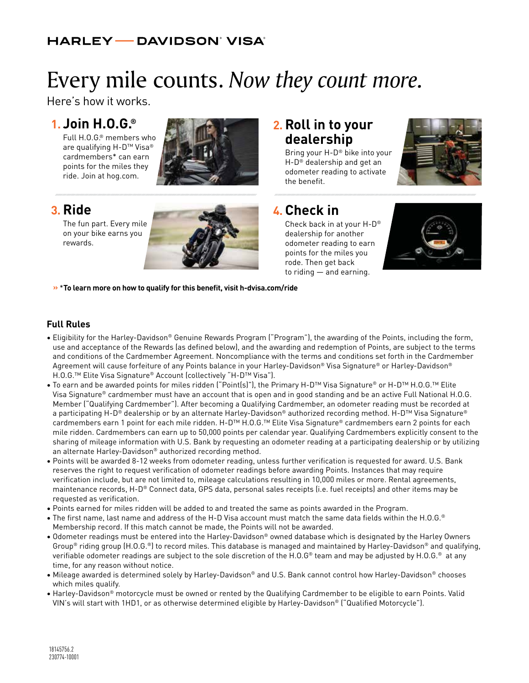#### **HARLEY — DAVIDSON' VISA'**

# Every mile counts. *Now they count more.*

Here's how it works.

#### **1. Join H.O.G.®**

Full H.O.G.® members who are qualifying H-D™ Visa® cardmembers\* can earn points for the miles they ride. Join at hog.com.



### **3. Ride**

The fun part. Every mile on your bike earns you rewards.



#### **2. Roll in to your dealership**

Bring your H-D® bike into your H-D® dealership and get an odometer reading to activate the benefit.



## **4. Check in**

Check back in at your H-D® dealership for another odometer reading to earn points for the miles you rode. Then get back to riding — and earning.



**»** \***To learn more on how to qualify for this benefit, visit h-dvisa.com/ride**

#### **Full Rules**

- Eligibility for the Harley-Davidson® Genuine Rewards Program ("Program"), the awarding of the Points, including the form, use and acceptance of the Rewards (as defined below), and the awarding and redemption of Points, are subject to the terms and conditions of the Cardmember Agreement. Noncompliance with the terms and conditions set forth in the Cardmember Agreement will cause forfeiture of any Points balance in your Harley-Davidson® Visa Signature® or Harley-Davidson® H.O.G.™ Elite Visa Signature® Account (collectively "H-D™ Visa").
- To earn and be awarded points for miles ridden ("Point(s)"), the Primary H-D™ Visa Signature® or H-D™ H.O.G.™ Elite Visa Signature® cardmember must have an account that is open and in good standing and be an active Full National H.O.G. Member ("Qualifying Cardmember"). After becoming a Qualifying Cardmember, an odometer reading must be recorded at a participating H-D® dealership or by an alternate Harley-Davidson® authorized recording method. H-D™ Visa Signature® cardmembers earn 1 point for each mile ridden. H-D™ H.O.G.™ Elite Visa Signature® cardmembers earn 2 points for each mile ridden. Cardmembers can earn up to 50,000 points per calendar year. Qualifying Cardmembers explicitly consent to the sharing of mileage information with U.S. Bank by requesting an odometer reading at a participating dealership or by utilizing an alternate Harley-Davidson® authorized recording method.
- Points will be awarded 8-12 weeks from odometer reading, unless further verification is requested for award. U.S. Bank reserves the right to request verification of odometer readings before awarding Points. Instances that may require verification include, but are not limited to, mileage calculations resulting in 10,000 miles or more. Rental agreements, maintenance records, H-D® Connect data, GPS data, personal sales receipts (i.e. fuel receipts) and other items may be requested as verification.
- Points earned for miles ridden will be added to and treated the same as points awarded in the Program.
- The first name, last name and address of the H-D Visa account must match the same data fields within the H.O.G.® Membership record. If this match cannot be made, the Points will not be awarded.
- Odometer readings must be entered into the Harley-Davidson® owned database which is designated by the Harley Owners Group<sup>®</sup> riding group (H.O.G.<sup>®</sup>) to record miles. This database is managed and maintained by Harley-Davidson® and qualifying, verifiable odometer readings are subject to the sole discretion of the H.O.G® team and may be adjusted by H.O.G.® at any time, for any reason without notice.
- Mileage awarded is determined solely by Harley-Davidson® and U.S. Bank cannot control how Harley-Davidson® chooses which miles qualify.
- Harley-Davidson® motorcycle must be owned or rented by the Qualifying Cardmember to be eligible to earn Points. Valid VIN's will start with 1HD1, or as otherwise determined eligible by Harley-Davidson® ("Qualified Motorcycle").